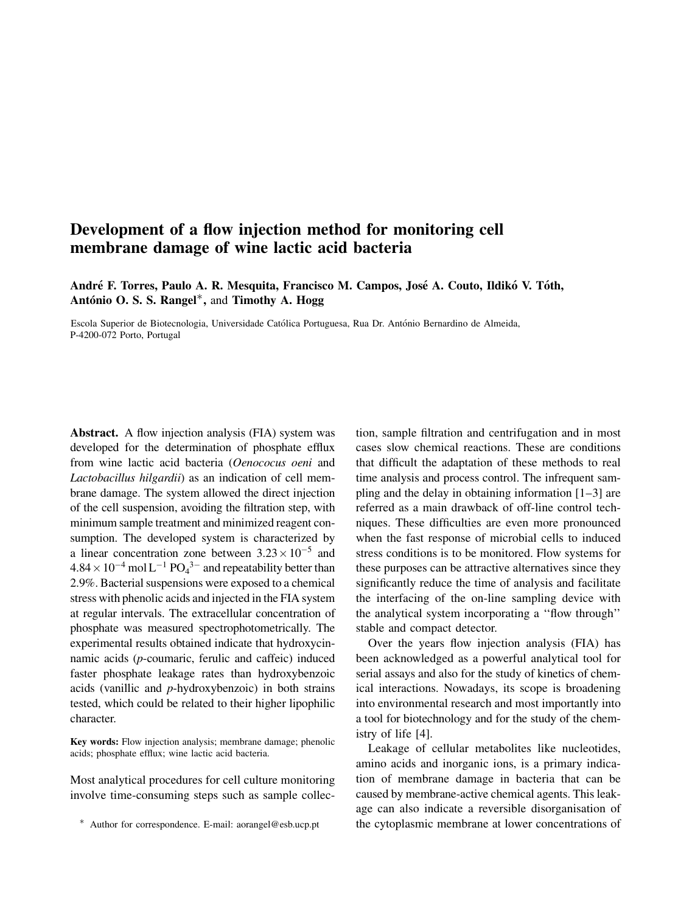# Development of a flow injection method for monitoring cell membrane damage of wine lactic acid bacteria

André F. Torres, Paulo A. R. Mesquita, Francisco M. Campos, José A. Couto, Ildikó V. Tóth, António O. S. S. Rangel<sup>\*</sup>, and Timothy A. Hogg

Escola Superior de Biotecnologia, Universidade Católica Portuguesa, Rua Dr. António Bernardino de Almeida, P-4200-072 Porto, Portugal

Abstract. A flow injection analysis (FIA) system was developed for the determination of phosphate efflux from wine lactic acid bacteria (Oenococus oeni and Lactobacillus hilgardii) as an indication of cell membrane damage. The system allowed the direct injection of the cell suspension, avoiding the filtration step, with minimum sample treatment and minimized reagent consumption. The developed system is characterized by a linear concentration zone between  $3.23 \times 10^{-5}$  and  $4.84 \times 10^{-4}$  mol L<sup>-1</sup> PO<sub>4</sub><sup>3-</sup> and repeatability better than 2.9%. Bacterial suspensions were exposed to a chemical stress with phenolic acids and injected in the FIA system at regular intervals. The extracellular concentration of phosphate was measured spectrophotometrically. The experimental results obtained indicate that hydroxycinnamic acids (p-coumaric, ferulic and caffeic) induced faster phosphate leakage rates than hydroxybenzoic acids (vanillic and p-hydroxybenzoic) in both strains tested, which could be related to their higher lipophilic character.

Key words: Flow injection analysis; membrane damage; phenolic acids; phosphate efflux; wine lactic acid bacteria.

Most analytical procedures for cell culture monitoring involve time-consuming steps such as sample collection, sample filtration and centrifugation and in most cases slow chemical reactions. These are conditions that difficult the adaptation of these methods to real time analysis and process control. The infrequent sampling and the delay in obtaining information  $[1-3]$  are referred as a main drawback of off-line control techniques. These difficulties are even more pronounced when the fast response of microbial cells to induced stress conditions is to be monitored. Flow systems for these purposes can be attractive alternatives since they significantly reduce the time of analysis and facilitate the interfacing of the on-line sampling device with the analytical system incorporating a ''flow through'' stable and compact detector.

Over the years flow injection analysis (FIA) has been acknowledged as a powerful analytical tool for serial assays and also for the study of kinetics of chemical interactions. Nowadays, its scope is broadening into environmental research and most importantly into a tool for biotechnology and for the study of the chemistry of life [4].

Leakage of cellular metabolites like nucleotides, amino acids and inorganic ions, is a primary indication of membrane damage in bacteria that can be caused by membrane-active chemical agents. This leakage can also indicate a reversible disorganisation of \* Author for correspondence. E-mail: aorangel@esb.ucp.pt the cytoplasmic membrane at lower concentrations of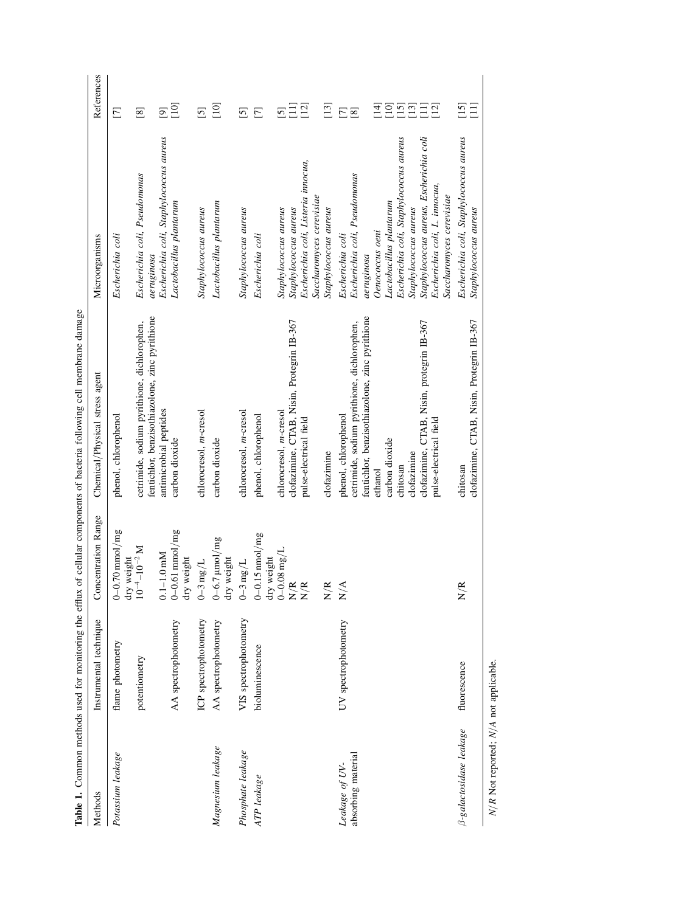|                                           | Table 1. Common methods used for monitoring the efflux |                                                                              | of cellular components of bacteria following cell membrane damage                                                                                                                                                                                     |                                                                                                                                                                                                                                                                                           |                                                                                              |
|-------------------------------------------|--------------------------------------------------------|------------------------------------------------------------------------------|-------------------------------------------------------------------------------------------------------------------------------------------------------------------------------------------------------------------------------------------------------|-------------------------------------------------------------------------------------------------------------------------------------------------------------------------------------------------------------------------------------------------------------------------------------------|----------------------------------------------------------------------------------------------|
| Methods                                   | Instrumental technique                                 | Concentration Range                                                          | Chemical/Physical stress agent                                                                                                                                                                                                                        | Microorganisms                                                                                                                                                                                                                                                                            | References                                                                                   |
| Potassium leakage                         | flame photometry                                       | $0-0.70$ mmol/mg<br>dry weight                                               | phenol, chlorophenol                                                                                                                                                                                                                                  | Escherichia coli                                                                                                                                                                                                                                                                          | $\overline{\Xi}$                                                                             |
|                                           | potentiometry                                          | $10^{-4} - 10^{-2}$ M                                                        | fentichlor, benzisothiazolone, zinc pyrithione<br>cetrimide, sodium pyrithione, dichlorophen,                                                                                                                                                         | Escherichia coli, Pseudomonas<br>aeruginosa                                                                                                                                                                                                                                               | $^{[8]}$                                                                                     |
|                                           | AA spectrophotometry                                   | $0-0.61$ mmol/mg<br>$-1.0$ mM<br>dry weight<br>$\overline{c}$                | antimicrobial peptides<br>carbon dioxide                                                                                                                                                                                                              | Escherichia coli, Staphylococcus aureus<br>Lactobacillus plantarum                                                                                                                                                                                                                        | [10]<br>$\overline{[9]}$                                                                     |
|                                           | ICP spectrophotometry                                  | $0\text{--}3$ mg/L                                                           | chlorocresol, m-cresol                                                                                                                                                                                                                                | Staphylococcus aureus                                                                                                                                                                                                                                                                     | $\overline{5}$                                                                               |
| Magnesium leakage                         | AA spectrophotometry                                   | $0 - 6.7$ $\mu$ mol/mg<br>dry weight                                         | carbon dioxide                                                                                                                                                                                                                                        | Lactobacillus plantarum                                                                                                                                                                                                                                                                   | $[10]$                                                                                       |
| Phosphate leakage                         | VIS spectrophotometry                                  | $0\text{--}3$ mg/L                                                           | chlorocresol, m-cresol                                                                                                                                                                                                                                | Staphylococcus aureus                                                                                                                                                                                                                                                                     | $\overline{5}$                                                                               |
| ATP leakage                               | bioluminescence                                        | $0-0.15$ nmol/mg<br>dry weight                                               | phenol, chlorophenol                                                                                                                                                                                                                                  | Escherichia coli                                                                                                                                                                                                                                                                          | $\Box$                                                                                       |
|                                           |                                                        | $0\text{--}0.08$ mg/L<br>$\approx \approx$<br>$\geq$<br>$\overrightarrow{z}$ | clofazimine, CTAB, Nisin, Protegrin IB-367<br>chlorocresol, m-cresol<br>pulse-electrical field                                                                                                                                                        | Escherichia coli, Listeria innocua,<br>Saccharomyces cerevisiae<br>Staphylococcus aureus<br>Staphylococcus aureus                                                                                                                                                                         | $\begin{bmatrix} 12 \end{bmatrix}$<br>Ξ<br>$\overline{5}$                                    |
|                                           |                                                        | $\approx$<br>$\geq$                                                          | clofazimine                                                                                                                                                                                                                                           | Staphylococcus aureus                                                                                                                                                                                                                                                                     | $\Xi$                                                                                        |
| absorbing material<br>Leakage of UV-      | UV spectrophotometry                                   | $\breve{\nabla}$<br>$\geq$                                                   | fentichlor, benzisothiazolone, zinc pyrithione<br>clofazimine, CTAB, Nisin, protegrin IB-367<br>cetrimide, sodium pyrithione, dichlorophen,<br>phenol, chlorophenol<br>pulse-electrical field<br>carbon dioxide<br>clofazimine<br>chitosan<br>ethanol | Escherichia coli, Staphylococcus aureus<br>Staphylococcus aureus, Escherichia coli<br>Escherichia coli, Pseudomonas<br>Escherichia coli, L. innocua,<br>Saccharomyces cerevisiae<br>Lactobacillus plantarum<br>Staphylococcus aureus<br>Oenococcus oeni<br>Escherichia coli<br>aeruginosa | $\overline{14}$<br>$\Xi$<br>$\boxed{15}$<br>$\boxed{13}$<br>$\Xi$<br>$\Xi$<br>$\overline{2}$ |
| 3-galactosidase leakage                   | fluorescence                                           | É<br>$\geq$                                                                  | clofazimine, CTAB, Nisin, Protegrin IB-367<br>chitosan                                                                                                                                                                                                | Escherichia coli, Staphylococcus aureus<br>Staphylococcus aureus                                                                                                                                                                                                                          | $\overline{15}$<br>Ξ                                                                         |
| $N/R$ Not reported; $N/A$ not applicable. |                                                        |                                                                              |                                                                                                                                                                                                                                                       |                                                                                                                                                                                                                                                                                           |                                                                                              |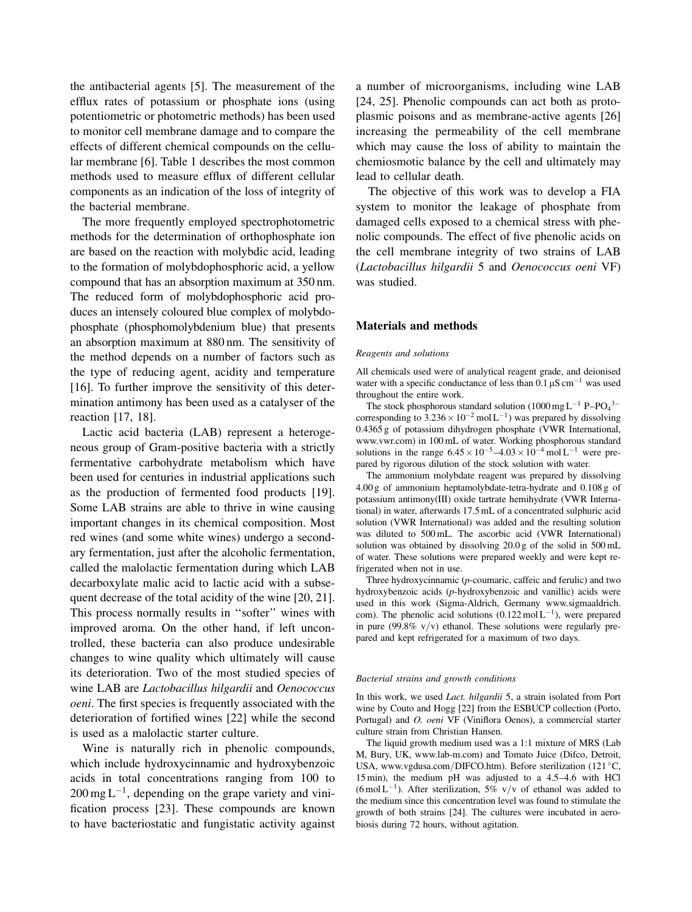the antibacterial agents [5]. The measurement of the efflux rates of potassium or phosphate ions (using potentiometric or photometric methods) has been used to monitor cell membrane damage and to compare the effects of different chemical compounds on the cellular membrane [6]. Table 1 describes the most common methods used to measure efflux of different cellular components as an indication of the loss of integrity of the bacterial membrane.

The more frequently employed spectrophotometric methods for the determination of orthophosphate ion are based on the reaction with molybdic acid, leading to the formation of molybdophosphoric acid, a yellow compound that has an absorption maximum at 350 nm. The reduced form of molybdophosphoric acid produces an intensely coloured blue complex of molybdophosphate (phosphomolybdenium blue) that presents an absorption maximum at 880 nm. The sensitivity of the method depends on a number of factors such as the type of reducing agent, acidity and temperature [16]. To further improve the sensitivity of this determination antimony has been used as a catalyser of the reaction [17, 18].

Lactic acid bacteria (LAB) represent a heterogeneous group of Gram-positive bacteria with a strictly fermentative carbohydrate metabolism which have been used for centuries in industrial applications such as the production of fermented food products [19]. Some LAB strains are able to thrive in wine causing important changes in its chemical composition. Most red wines (and some white wines) undergo a secondary fermentation, just after the alcoholic fermentation, called the malolactic fermentation during which LAB decarboxylate malic acid to lactic acid with a subsequent decrease of the total acidity of the wine [20, 21]. This process normally results in ''softer'' wines with improved aroma. On the other hand, if left uncontrolled, these bacteria can also produce undesirable changes to wine quality which ultimately will cause its deterioration. Two of the most studied species of wine LAB are Lactobacillus hilgardii and Oenococcus oeni. The first species is frequently associated with the deterioration of fortified wines [22] while the second is used as a malolactic starter culture.

Wine is naturally rich in phenolic compounds, which include hydroxycinnamic and hydroxybenzoic acids in total concentrations ranging from 100 to  $200 \,\text{mg L}^{-1}$ , depending on the grape variety and vinification process [23]. These compounds are known to have bacteriostatic and fungistatic activity against a number of microorganisms, including wine LAB [24, 25]. Phenolic compounds can act both as protoplasmic poisons and as membrane-active agents [26] increasing the permeability of the cell membrane which may cause the loss of ability to maintain the chemiosmotic balance by the cell and ultimately may lead to cellular death.

The objective of this work was to develop a FIA system to monitor the leakage of phosphate from damaged cells exposed to a chemical stress with phenolic compounds. The effect of five phenolic acids on the cell membrane integrity of two strains of LAB (Lactobacillus hilgardii 5 and Oenococcus oeni VF) was studied.

## Materials and methods

#### Reagents and solutions

All chemicals used were of analytical reagent grade, and deionised water with a specific conductance of less than  $0.1 \,\mu\text{S cm}^{-1}$  was used throughout the entire work.

The stock phosphorous standard solution  $(1000 \text{ mg L}^{-1} \text{ P} - \text{PO}_4^{3-})$ corresponding to  $3.236 \times 10^{-2}$  mol L<sup>-1</sup>) was prepared by dissolving 0.4365 g of potassium dihydrogen phosphate (VWR International, www.vwr.com) in 100 mL of water. Working phosphorous standard solutions in the range  $6.45 \times 10^{-5} - 4.03 \times 10^{-4}$  mol L<sup>-1</sup> were prepared by rigorous dilution of the stock solution with water.

The ammonium molybdate reagent was prepared by dissolving 4.00 g of ammonium heptamolybdate-tetra-hydrate and 0.108 g of potassium antimony(III) oxide tartrate hemihydrate (VWR International) in water, afterwards 17.5 mL of a concentrated sulphuric acid solution (VWR International) was added and the resulting solution was diluted to 500 mL. The ascorbic acid (VWR International) solution was obtained by dissolving 20.0 g of the solid in 500 mL of water. These solutions were prepared weekly and were kept refrigerated when not in use.

Three hydroxycinnamic (p-coumaric, caffeic and ferulic) and two hydroxybenzoic acids (p-hydroxybenzoic and vanillic) acids were used in this work (Sigma-Aldrich, Germany www.sigmaaldrich. com). The phenolic acid solutions  $(0.122 \text{ mol} L^{-1})$ , were prepared in pure (99.8%  $v/v$ ) ethanol. These solutions were regularly prepared and kept refrigerated for a maximum of two days.

## Bacterial strains and growth conditions

In this work, we used Lact. hilgardii 5, a strain isolated from Port wine by Couto and Hogg [22] from the ESBUCP collection (Porto, Portugal) and O. oeni VF (Viniflora Oenos), a commercial starter culture strain from Christian Hansen.

The liquid growth medium used was a 1:1 mixture of MRS (Lab M, Bury, UK, www.lab-m.com) and Tomato Juice (Difco, Detroit, USA, www.vgdusa.com/DIFCO.htm). Before sterilization (121 °C, 15 min), the medium pH was adjusted to a 4.5–4.6 with HCl (6 mol L<sup>-1</sup>). After sterilization, 5% v/v of ethanol was added to the medium since this concentration level was found to stimulate the growth of both strains [24]. The cultures were incubated in aerobiosis during 72 hours, without agitation.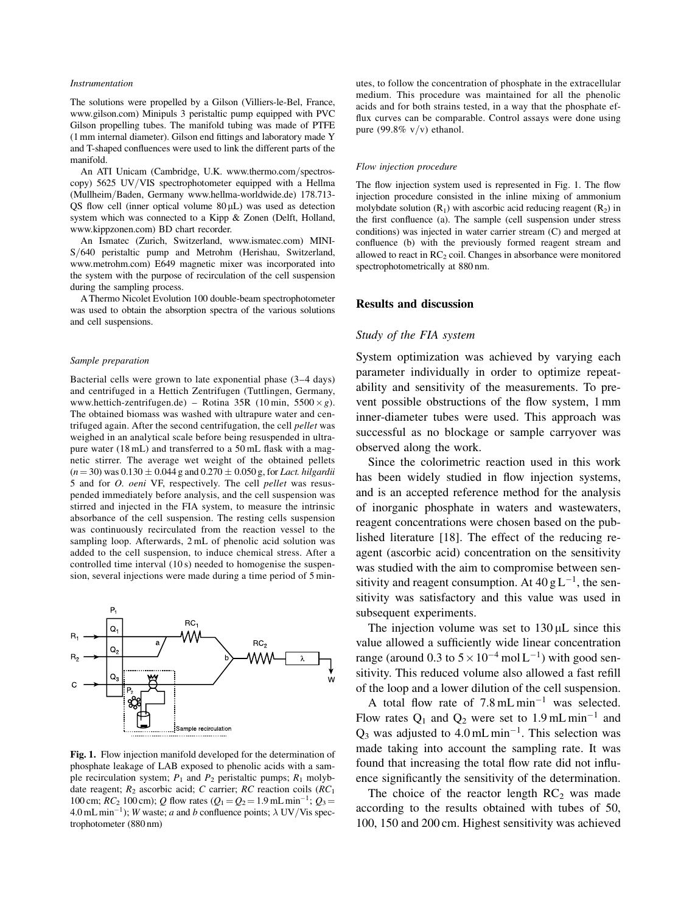#### Instrumentation

The solutions were propelled by a Gilson (Villiers-le-Bel, France, www.gilson.com) Minipuls 3 peristaltic pump equipped with PVC Gilson propelling tubes. The manifold tubing was made of PTFE (1 mm internal diameter). Gilson end fittings and laboratory made Y and T-shaped confluences were used to link the different parts of the manifold.

An ATI Unicam (Cambridge, U.K. www.thermo.com/spectroscopy) 5625 UV/VIS spectrophotometer equipped with a Hellma (Mullheim/Baden, Germany www.hellma-worldwide.de) 178.713-QS flow cell (inner optical volume  $80 \mu L$ ) was used as detection system which was connected to a Kipp & Zonen (Delft, Holland, www.kippzonen.com) BD chart recorder.

An Ismatec (Zurich, Switzerland, www.ismatec.com) MINI-S/640 peristaltic pump and Metrohm (Herishau, Switzerland, www.metrohm.com) E649 magnetic mixer was incorporated into the system with the purpose of recirculation of the cell suspension during the sampling process.

A Thermo Nicolet Evolution 100 double-beam spectrophotometer was used to obtain the absorption spectra of the various solutions and cell suspensions.

#### Sample preparation

Bacterial cells were grown to late exponential phase (3–4 days) and centrifuged in a Hettich Zentrifugen (Tuttlingen, Germany, www.hettich-zentrifugen.de) – Rotina 35R (10 min,  $5500 \times g$ ). The obtained biomass was washed with ultrapure water and centrifuged again. After the second centrifugation, the cell pellet was weighed in an analytical scale before being resuspended in ultrapure water (18 mL) and transferred to a 50 mL flask with a magnetic stirrer. The average wet weight of the obtained pellets  $(n = 30)$  was  $0.130 \pm 0.044$  g and  $0.270 \pm 0.050$  g, for Lact. hilgardii 5 and for O. oeni VF, respectively. The cell pellet was resuspended immediately before analysis, and the cell suspension was stirred and injected in the FIA system, to measure the intrinsic absorbance of the cell suspension. The resting cells suspension was continuously recirculated from the reaction vessel to the sampling loop. Afterwards, 2 mL of phenolic acid solution was added to the cell suspension, to induce chemical stress. After a controlled time interval (10 s) needed to homogenise the suspension, several injections were made during a time period of 5 min-



Fig. 1. Flow injection manifold developed for the determination of phosphate leakage of LAB exposed to phenolic acids with a sample recirculation system;  $P_1$  and  $P_2$  peristaltic pumps;  $R_1$  molybdate reagent;  $R_2$  ascorbic acid; C carrier; RC reaction coils (RC<sub>1</sub> 100 cm;  $\overline{RC_2}$  100 cm); Q flow rates  $(Q_1 = Q_2 = 1.9 \text{ mL min}^{-1}; Q_3 =$ 4.0 mL min<sup>-1</sup>); W waste; a and b confluence points;  $\lambda$  UV/Vis spectrophotometer (880 nm)

utes, to follow the concentration of phosphate in the extracellular medium. This procedure was maintained for all the phenolic acids and for both strains tested, in a way that the phosphate efflux curves can be comparable. Control assays were done using pure (99.8%  $v/v$ ) ethanol.

#### Flow injection procedure

The flow injection system used is represented in Fig. 1. The flow injection procedure consisted in the inline mixing of ammonium molybdate solution  $(R_1)$  with ascorbic acid reducing reagent  $(R_2)$  in the first confluence (a). The sample (cell suspension under stress conditions) was injected in water carrier stream (C) and merged at confluence (b) with the previously formed reagent stream and allowed to react in  $RC<sub>2</sub>$  coil. Changes in absorbance were monitored spectrophotometrically at 880 nm.

# Results and discussion

## Study of the FIA system

System optimization was achieved by varying each parameter individually in order to optimize repeatability and sensitivity of the measurements. To prevent possible obstructions of the flow system, 1 mm inner-diameter tubes were used. This approach was successful as no blockage or sample carryover was observed along the work.

Since the colorimetric reaction used in this work has been widely studied in flow injection systems, and is an accepted reference method for the analysis of inorganic phosphate in waters and wastewaters, reagent concentrations were chosen based on the published literature [18]. The effect of the reducing reagent (ascorbic acid) concentration on the sensitivity was studied with the aim to compromise between sensitivity and reagent consumption. At  $40 \text{ g L}^{-1}$ , the sensitivity was satisfactory and this value was used in subsequent experiments.

The injection volume was set to  $130 \mu L$  since this value allowed a sufficiently wide linear concentration range (around 0.3 to  $5 \times 10^{-4}$  mol  $L^{-1}$ ) with good sensitivity. This reduced volume also allowed a fast refill of the loop and a lower dilution of the cell suspension.

A total flow rate of  $7.8 \text{ mL min}^{-1}$  was selected. Flow rates  $Q_1$  and  $Q_2$  were set to 1.9 mL min<sup>-1</sup> and  $Q_3$  was adjusted to 4.0 mL min<sup>-1</sup>. This selection was made taking into account the sampling rate. It was found that increasing the total flow rate did not influence significantly the sensitivity of the determination.

The choice of the reactor length  $RC<sub>2</sub>$  was made according to the results obtained with tubes of 50, 100, 150 and 200 cm. Highest sensitivity was achieved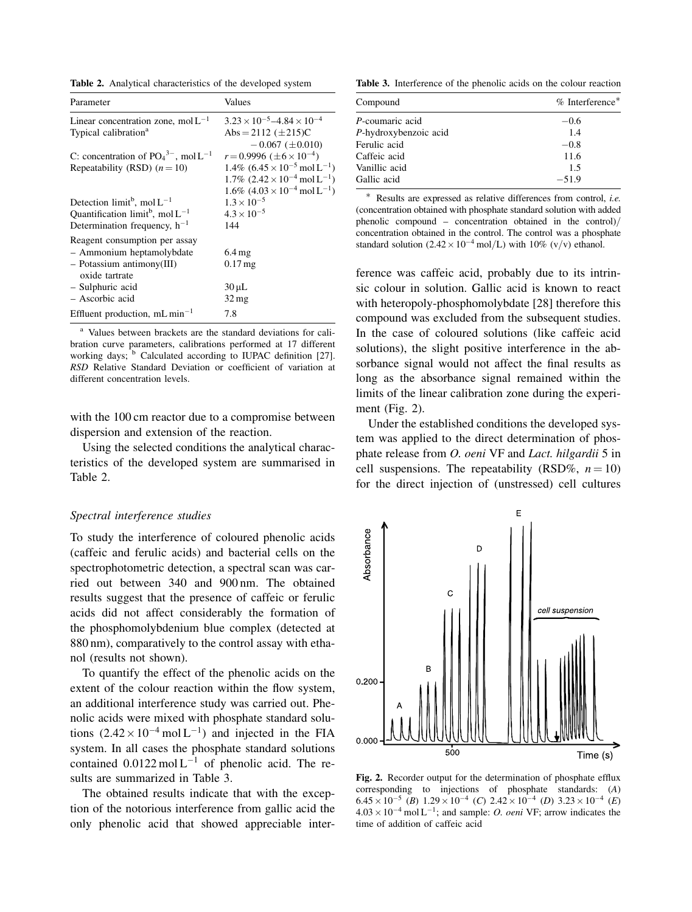Table 2. Analytical characteristics of the developed system

| Parameter                                         | Values                                                        |
|---------------------------------------------------|---------------------------------------------------------------|
| Linear concentration zone, $mol L^{-1}$           | $3.23 \times 10^{-5} - 4.84 \times 10^{-4}$                   |
| Typical calibration <sup>a</sup>                  | Abs = 2112 $(\pm 215)C$                                       |
|                                                   | $-0.067$ ( $\pm 0.010$ )                                      |
| C: concentration of $PO43-$ , mol L <sup>-1</sup> | $r = 0.9996 \ (\pm 6 \times 10^{-4})$                         |
| Repeatability (RSD) $(n=10)$                      | $1.4\%$ (6.45 $\times$ 10 <sup>-5</sup> mol L <sup>-1</sup> ) |
|                                                   | $1.7\%$ (2.42 $\times$ 10 <sup>-4</sup> mol L <sup>-1</sup> ) |
|                                                   | $1.6\%$ (4.03 × 10 <sup>-4</sup> mol L <sup>-1</sup> )        |
| Detection limit <sup>b</sup> , mol $L^{-1}$       | $1.3 \times 10^{-5}$                                          |
| Quantification limit <sup>b</sup> , mol $L^{-1}$  | $4.3 \times 10^{-5}$                                          |
| Determination frequency, $h^{-1}$                 | 144                                                           |
| Reagent consumption per assay                     |                                                               |
| - Ammonium heptamolybdate                         | $6.4 \,\mathrm{mg}$                                           |
| $-$ Potassium antimony(III)                       | $0.17$ mg                                                     |
| oxide tartrate                                    |                                                               |
| - Sulphuric acid                                  | $30 \mu L$                                                    |
| - Ascorbic acid                                   | $32 \,\mathrm{mg}$                                            |
| Effluent production, $mL \text{ min}^{-1}$        | 7.8                                                           |

<sup>a</sup> Values between brackets are the standard deviations for calibration curve parameters, calibrations performed at 17 different working days;  $<sup>b</sup>$  Calculated according to IUPAC definition [27].</sup> RSD Relative Standard Deviation or coefficient of variation at different concentration levels.

with the 100 cm reactor due to a compromise between dispersion and extension of the reaction.

Using the selected conditions the analytical characteristics of the developed system are summarised in Table 2.

## Spectral interference studies

To study the interference of coloured phenolic acids (caffeic and ferulic acids) and bacterial cells on the spectrophotometric detection, a spectral scan was carried out between 340 and 900 nm. The obtained results suggest that the presence of caffeic or ferulic acids did not affect considerably the formation of the phosphomolybdenium blue complex (detected at 880 nm), comparatively to the control assay with ethanol (results not shown).

To quantify the effect of the phenolic acids on the extent of the colour reaction within the flow system, an additional interference study was carried out. Phenolic acids were mixed with phosphate standard solutions  $(2.42 \times 10^{-4} \text{ mol L}^{-1})$  and injected in the FIA system. In all cases the phosphate standard solutions contained  $0.0122 \text{ mol L}^{-1}$  of phenolic acid. The results are summarized in Table 3.

The obtained results indicate that with the exception of the notorious interference from gallic acid the only phenolic acid that showed appreciable inter-

Table 3. Interference of the phenolic acids on the colour reaction

| Compound              | $%$ Interference <sup>*</sup> |
|-----------------------|-------------------------------|
| P-coumaric acid       | $-0.6$                        |
| P-hydroxybenzoic acid | 1.4                           |
| Ferulic acid          | $-0.8$                        |
| Caffeic acid          | 11.6                          |
| Vanillic acid         | 1.5                           |
| Gallic acid           | $-51.9$                       |

 Results are expressed as relative differences from control, i.e. (concentration obtained with phosphate standard solution with added phenolic compound – concentration obtained in the control) $/$ concentration obtained in the control. The control was a phosphate standard solution  $(2.42 \times 10^{-4} \text{ mol/L})$  with 10% (v/v) ethanol.

ference was caffeic acid, probably due to its intrinsic colour in solution. Gallic acid is known to react with heteropoly-phosphomolybdate [28] therefore this compound was excluded from the subsequent studies. In the case of coloured solutions (like caffeic acid solutions), the slight positive interference in the absorbance signal would not affect the final results as long as the absorbance signal remained within the limits of the linear calibration zone during the experiment (Fig. 2).

Under the established conditions the developed system was applied to the direct determination of phosphate release from O. oeni VF and Lact. hilgardii 5 in cell suspensions. The repeatability (RSD%,  $n = 10$ ) for the direct injection of (unstressed) cell cultures

E Absorbance cell suspension 0.200 0.00C Time (s)

Fig. 2. Recorder output for the determination of phosphate efflux corresponding to injections of phosphate standards: (A)  $6.45 \times 10^{-5}$  (B)  $1.29 \times 10^{-4}$  (C)  $2.42 \times 10^{-4}$  (D)  $3.23 \times 10^{-4}$  (E)  $4.03 \times 10^{-4}$  mol L<sup>-1</sup>; and sample: *O. oeni* VF; arrow indicates the time of addition of caffeic acid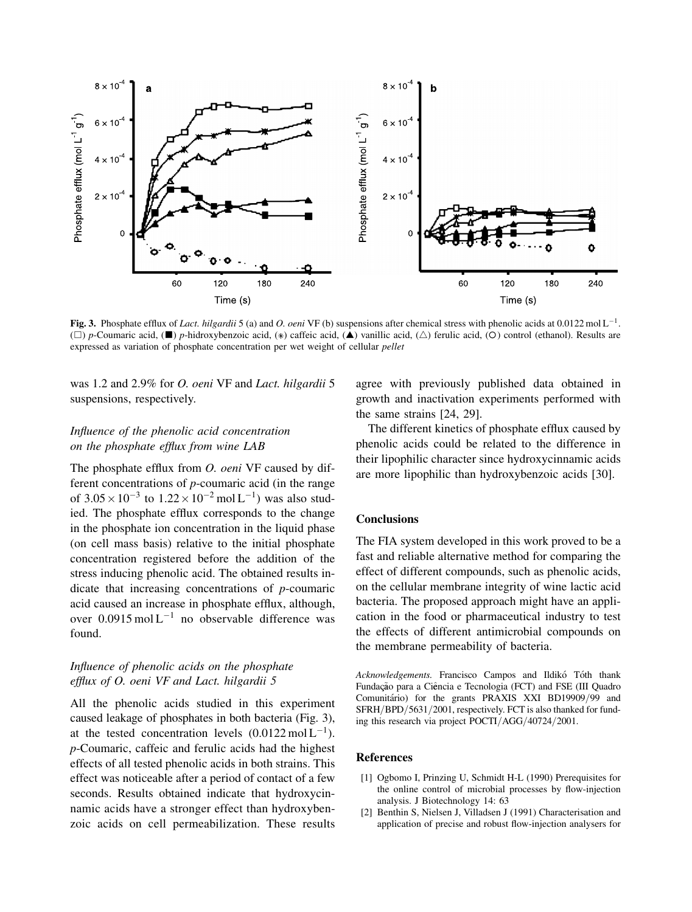

Fig. 3. Phosphate efflux of *Lact. hilgardii* 5 (a) and *O. oeni* VF (b) suspensions after chemical stress with phenolic acids at 0.0122 mol L<sup>-1</sup>. (□) p-Coumaric acid, (■) p-hidroxybenzoic acid, (\*) caffeic acid, (▲) vanillic acid, (△) ferulic acid, (○) control (ethanol). Results are expressed as variation of phosphate concentration per wet weight of cellular pellet

was 1.2 and 2.9% for O. oeni VF and Lact. hilgardii 5 suspensions, respectively.

# Influence of the phenolic acid concentration on the phosphate efflux from wine LAB

The phosphate efflux from *O. oeni* VF caused by different concentrations of p-coumaric acid (in the range of  $3.05 \times 10^{-3}$  to  $1.22 \times 10^{-2}$  mol L<sup>-1</sup>) was also studied. The phosphate efflux corresponds to the change in the phosphate ion concentration in the liquid phase (on cell mass basis) relative to the initial phosphate concentration registered before the addition of the stress inducing phenolic acid. The obtained results indicate that increasing concentrations of p-coumaric acid caused an increase in phosphate efflux, although, over  $0.0915 \text{ mol L}^{-1}$  no observable difference was found.

# Influence of phenolic acids on the phosphate efflux of O. oeni VF and Lact. hilgardii 5

All the phenolic acids studied in this experiment caused leakage of phosphates in both bacteria (Fig. 3), at the tested concentration levels  $(0.0122 \text{ mol L}^{-1})$ . p-Coumaric, caffeic and ferulic acids had the highest effects of all tested phenolic acids in both strains. This effect was noticeable after a period of contact of a few seconds. Results obtained indicate that hydroxycinnamic acids have a stronger effect than hydroxybenzoic acids on cell permeabilization. These results

agree with previously published data obtained in growth and inactivation experiments performed with the same strains [24, 29].

The different kinetics of phosphate efflux caused by phenolic acids could be related to the difference in their lipophilic character since hydroxycinnamic acids are more lipophilic than hydroxybenzoic acids [30].

# **Conclusions**

The FIA system developed in this work proved to be a fast and reliable alternative method for comparing the effect of different compounds, such as phenolic acids, on the cellular membrane integrity of wine lactic acid bacteria. The proposed approach might have an application in the food or pharmaceutical industry to test the effects of different antimicrobial compounds on the membrane permeability of bacteria.

Acknowledgements. Francisco Campos and Ildikó Tóth thank Fundação para a Ciência e Tecnologia (FCT) and FSE (III Quadro Comunitário) for the grants PRAXIS XXI BD19909/99 and SFRH/BPD/5631/2001, respectively. FCT is also thanked for funding this research via project POCTI/AGG/40724/2001.

# References

- [1] Ogbomo I, Prinzing U, Schmidt H-L (1990) Prerequisites for the online control of microbial processes by flow-injection analysis. J Biotechnology 14: 63
- [2] Benthin S, Nielsen J, Villadsen J (1991) Characterisation and application of precise and robust flow-injection analysers for